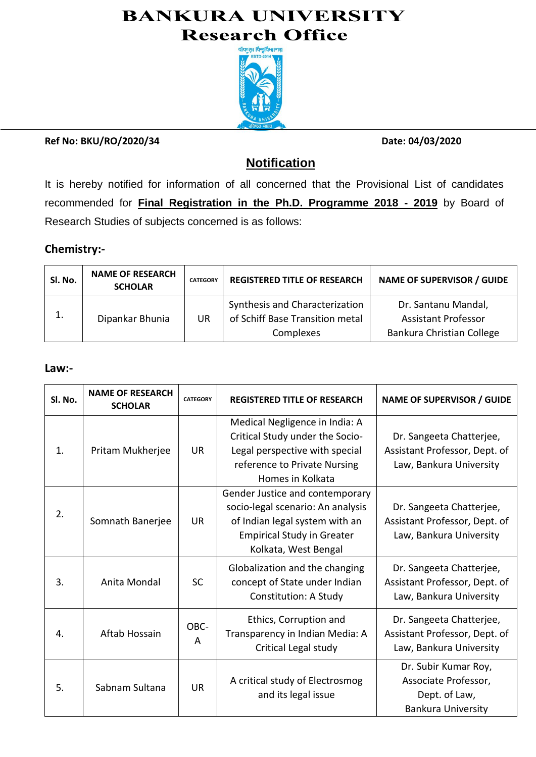# **BANKURA UNIVERSITY Research Office**



**Ref No: BKU/RO/2020/34 Date: 04/03/2020**

## **Notification**

It is hereby notified for information of all concerned that the Provisional List of candidates recommended for **Final Registration in the Ph.D. Programme 2018 - 2019** by Board of Research Studies of subjects concerned is as follows:

### **Chemistry:-**

| Sl. No. | <b>NAME OF RESEARCH</b><br><b>SCHOLAR</b> | <b>CATEGORY</b> | <b>REGISTERED TITLE OF RESEARCH</b>                                            | <b>NAME OF SUPERVISOR / GUIDE</b>                                              |
|---------|-------------------------------------------|-----------------|--------------------------------------------------------------------------------|--------------------------------------------------------------------------------|
|         | Dipankar Bhunia                           | UR              | Synthesis and Characterization<br>of Schiff Base Transition metal<br>Complexes | Dr. Santanu Mandal,<br><b>Assistant Professor</b><br>Bankura Christian College |

#### **Law:-**

| Sl. No. | <b>NAME OF RESEARCH</b><br><b>SCHOLAR</b> | <b>CATEGORY</b> | <b>REGISTERED TITLE OF RESEARCH</b>                                                                                                                                 | <b>NAME OF SUPERVISOR / GUIDE</b>                                                          |
|---------|-------------------------------------------|-----------------|---------------------------------------------------------------------------------------------------------------------------------------------------------------------|--------------------------------------------------------------------------------------------|
| 1.      | Pritam Mukherjee                          | <b>UR</b>       | Medical Negligence in India: A<br>Critical Study under the Socio-<br>Legal perspective with special<br>reference to Private Nursing<br>Homes in Kolkata             | Dr. Sangeeta Chatterjee,<br>Assistant Professor, Dept. of<br>Law, Bankura University       |
| 2.      | Somnath Banerjee                          | <b>UR</b>       | Gender Justice and contemporary<br>socio-legal scenario: An analysis<br>of Indian legal system with an<br><b>Empirical Study in Greater</b><br>Kolkata, West Bengal | Dr. Sangeeta Chatterjee,<br>Assistant Professor, Dept. of<br>Law, Bankura University       |
| 3.      | Anita Mondal                              | <b>SC</b>       | Globalization and the changing<br>concept of State under Indian<br><b>Constitution: A Study</b>                                                                     | Dr. Sangeeta Chatterjee,<br>Assistant Professor, Dept. of<br>Law, Bankura University       |
| 4.      | Aftab Hossain                             | OBC-<br>A       | Ethics, Corruption and<br>Transparency in Indian Media: A<br>Critical Legal study                                                                                   | Dr. Sangeeta Chatterjee,<br>Assistant Professor, Dept. of<br>Law, Bankura University       |
| 5.      | Sabnam Sultana                            | <b>UR</b>       | A critical study of Electrosmog<br>and its legal issue                                                                                                              | Dr. Subir Kumar Roy,<br>Associate Professor,<br>Dept. of Law,<br><b>Bankura University</b> |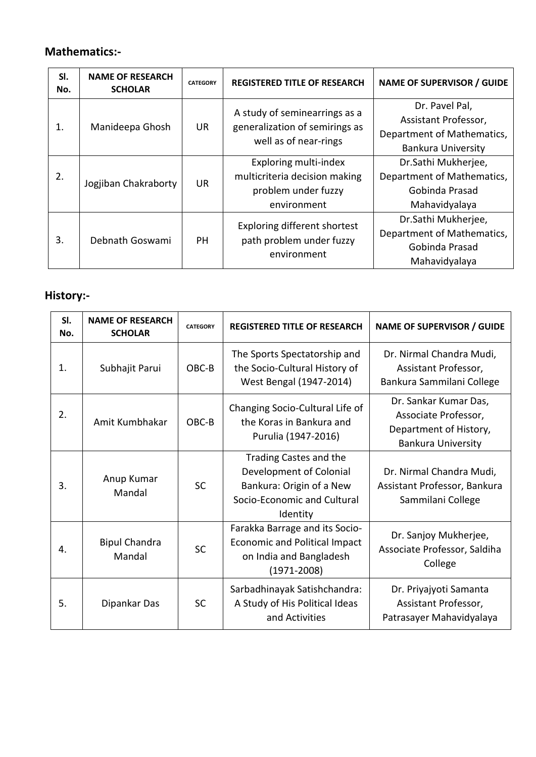### **Mathematics:-**

| SI.<br>No. | <b>NAME OF RESEARCH</b><br><b>SCHOLAR</b> | <b>CATEGORY</b> | <b>REGISTERED TITLE OF RESEARCH</b>                                                          | <b>NAME OF SUPERVISOR / GUIDE</b>                                                                 |
|------------|-------------------------------------------|-----------------|----------------------------------------------------------------------------------------------|---------------------------------------------------------------------------------------------------|
| 1.         | Manideepa Ghosh                           | <b>UR</b>       | A study of seminearrings as a<br>generalization of semirings as<br>well as of near-rings     | Dr. Pavel Pal,<br>Assistant Professor,<br>Department of Mathematics,<br><b>Bankura University</b> |
| 2.         | Jogjiban Chakraborty                      | <b>UR</b>       | Exploring multi-index<br>multicriteria decision making<br>problem under fuzzy<br>environment | Dr.Sathi Mukherjee,<br>Department of Mathematics,<br>Gobinda Prasad<br>Mahavidyalaya              |
| 3.         | Debnath Goswami                           | <b>PH</b>       | Exploring different shortest<br>path problem under fuzzy<br>environment                      | Dr.Sathi Mukherjee,<br>Department of Mathematics,<br>Gobinda Prasad<br>Mahavidyalaya              |

## **History:-**

| SI.<br>No. | <b>NAME OF RESEARCH</b><br><b>SCHOLAR</b> | <b>CATEGORY</b> | <b>REGISTERED TITLE OF RESEARCH</b>                                                                                      | <b>NAME OF SUPERVISOR / GUIDE</b>                                                                    |
|------------|-------------------------------------------|-----------------|--------------------------------------------------------------------------------------------------------------------------|------------------------------------------------------------------------------------------------------|
| 1.         | Subhajit Parui                            | OBC-B           | The Sports Spectatorship and<br>the Socio-Cultural History of<br>West Bengal (1947-2014)                                 | Dr. Nirmal Chandra Mudi,<br>Assistant Professor,<br>Bankura Sammilani College                        |
| 2.         | Amit Kumbhakar                            | OBC-B           | Changing Socio-Cultural Life of<br>the Koras in Bankura and<br>Purulia (1947-2016)                                       | Dr. Sankar Kumar Das,<br>Associate Professor,<br>Department of History,<br><b>Bankura University</b> |
| 3.         | Anup Kumar<br>Mandal                      | <b>SC</b>       | Trading Castes and the<br>Development of Colonial<br>Bankura: Origin of a New<br>Socio-Economic and Cultural<br>Identity | Dr. Nirmal Chandra Mudi,<br>Assistant Professor, Bankura<br>Sammilani College                        |
| 4.         | <b>Bipul Chandra</b><br>Mandal            | <b>SC</b>       | Farakka Barrage and its Socio-<br><b>Economic and Political Impact</b><br>on India and Bangladesh<br>$(1971 - 2008)$     | Dr. Sanjoy Mukherjee,<br>Associate Professor, Saldiha<br>College                                     |
| 5.         | Dipankar Das                              | <b>SC</b>       | Sarbadhinayak Satishchandra:<br>A Study of His Political Ideas<br>and Activities                                         | Dr. Priyajyoti Samanta<br>Assistant Professor,<br>Patrasayer Mahavidyalaya                           |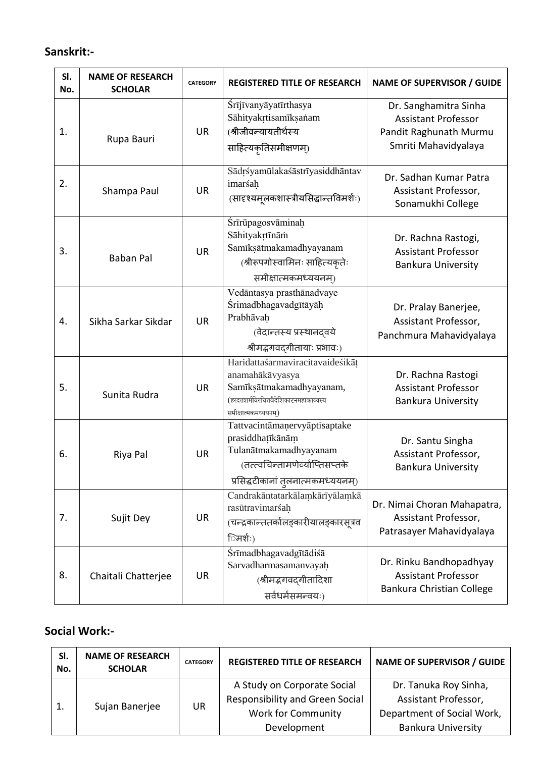#### **Sanskrit:-**

| SI.<br>No. | <b>NAME OF RESEARCH</b><br><b>SCHOLAR</b> | <b>CATEGORY</b> | <b>REGISTERED TITLE OF RESEARCH</b>                                                                                                                   | <b>NAME OF SUPERVISOR / GUIDE</b>                                                                     |
|------------|-------------------------------------------|-----------------|-------------------------------------------------------------------------------------------------------------------------------------------------------|-------------------------------------------------------------------------------------------------------|
| 1.         | Rupa Bauri                                | <b>UR</b>       | Śrījīvanyāyatīrthasya<br>Sāhityakrtisamīksanam<br>(श्रीजीवन्यायतीर्थस्य<br>साहित्यकृतिसमीक्षणम्)                                                      | Dr. Sanghamitra Sinha<br><b>Assistant Professor</b><br>Pandit Raghunath Murmu<br>Smriti Mahavidyalaya |
| 2.         | Shampa Paul                               | <b>UR</b>       | Sādrśyamūlakaśāstrīyasiddhāntav<br>imarśah<br>(सादृश्यमूलकशास्त्रीयसिद्धान्तविमर्शः)                                                                  | Dr. Sadhan Kumar Patra<br>Assistant Professor,<br>Sonamukhi College                                   |
| 3.         | <b>Baban Pal</b>                          | <b>UR</b>       | Śrīrūpagosvāminah<br>Sāhityakrtīnām<br>Samīksātmakamadhyayanam<br>(श्रीरूपगोस्वामिनः साहित्यकृतेः<br>समीक्षात्मकमध्ययनम्)                             | Dr. Rachna Rastogi,<br><b>Assistant Professor</b><br><b>Bankura University</b>                        |
| 4.         | Sikha Sarkar Sikdar                       | <b>UR</b>       | Vedāntasya prasthānadvaye<br>Śrimadbhagavadgītāyāh<br>Prabhāvaḥ<br>(वेदान्तस्य प्रस्थानदवये<br>श्रीमद्भगवद्गीतायाः प्रभावः)                           | Dr. Pralay Banerjee,<br>Assistant Professor,<br>Panchmura Mahavidyalaya                               |
| 5.         | Sunita Rudra                              | <b>UR</b>       | Haridattaśarmaviracitavaideśikāt<br>anamahākāvyasya<br>Samīksātmakamadhyayanam,<br>(हरदत्तशर्मविरचितवैदेशिकाटनमहाकाव्यस्य<br>समीक्षात्मकमध्ययनम्)     | Dr. Rachna Rastogi<br><b>Assistant Professor</b><br><b>Bankura University</b>                         |
| 6.         | Riya Pal                                  | <b>UR</b>       | Tattvacintāmaņervyāptisaptake<br>prasiddhatīkānām<br>Tulanātmakamadhyayanam<br>(तत्त्वचिन्तामणेर्व्याप्तिसप्तके<br>प्रसिद्धटीकानां तुलनात्मकमध्ययनम्) | Dr. Santu Singha<br>Assistant Professor,<br><b>Bankura University</b>                                 |
| 7.         | Sujit Dey                                 | <b>UR</b>       | Candrakāntatarkālamkārīyālamkā<br>rasūtravimarśah<br>(चन्द्रकान्ततर्कालङ्कारीयालङ्कारसूत्रव<br>िमर्शः)                                                | Dr. Nimai Choran Mahapatra,<br>Assistant Professor,<br>Patrasayer Mahavidyalaya                       |
| 8.         | Chaitali Chatterjee                       | <b>UR</b>       | <i>Śrīmadbhagavadgītādiśā</i><br>Sarvadharmasamanvayah<br>(श्रीमद्भगवद्गीतादिशा<br>सर्वधर्मसमन्वयः)                                                   | Dr. Rinku Bandhopadhyay<br><b>Assistant Professor</b><br>Bankura Christian College                    |

### **Social Work:-**

| SI.<br>No. | <b>NAME OF RESEARCH</b><br><b>SCHOLAR</b> | <b>CATEGORY</b> | <b>REGISTERED TITLE OF RESEARCH</b>                                                                | <b>NAME OF SUPERVISOR / GUIDE</b>                                           |
|------------|-------------------------------------------|-----------------|----------------------------------------------------------------------------------------------------|-----------------------------------------------------------------------------|
|            | Sujan Banerjee                            | UR              | A Study on Corporate Social<br><b>Responsibility and Green Social</b><br><b>Work for Community</b> | Dr. Tanuka Roy Sinha,<br>Assistant Professor,<br>Department of Social Work, |
|            |                                           |                 | Development                                                                                        | <b>Bankura University</b>                                                   |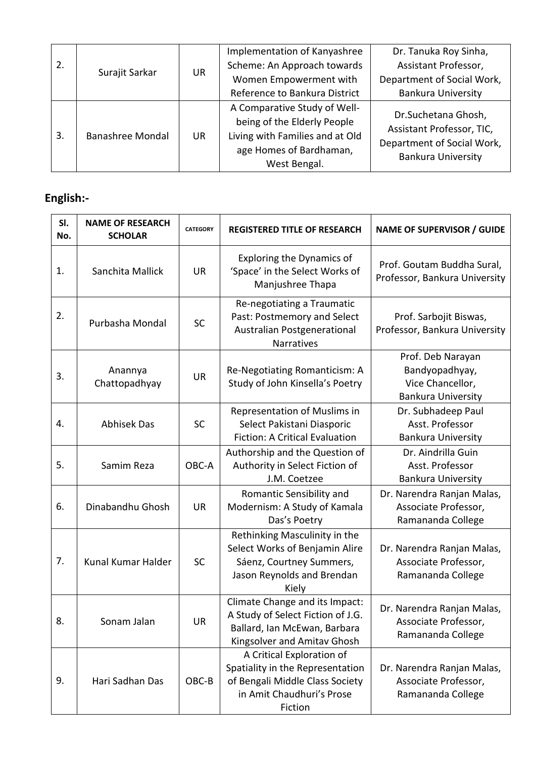| 2. | Surajit Sarkar   | <b>UR</b> | Implementation of Kanyashree<br>Scheme: An Approach towards<br>Women Empowerment with<br>Reference to Bankura District    | Dr. Tanuka Roy Sinha,<br>Assistant Professor,<br>Department of Social Work,<br><b>Bankura University</b> |
|----|------------------|-----------|---------------------------------------------------------------------------------------------------------------------------|----------------------------------------------------------------------------------------------------------|
| 3. | Banashree Mondal | UR        | A Comparative Study of Well-<br>being of the Elderly People<br>Living with Families and at Old<br>age Homes of Bardhaman, | Dr.Suchetana Ghosh,<br>Assistant Professor, TIC,<br>Department of Social Work,                           |
|    |                  |           | West Bengal.                                                                                                              | <b>Bankura University</b>                                                                                |

# **English:-**

| SI.<br>No. | <b>NAME OF RESEARCH</b><br><b>SCHOLAR</b> | <b>CATEGORY</b> | <b>REGISTERED TITLE OF RESEARCH</b>                                                                                                      | <b>NAME OF SUPERVISOR / GUIDE</b>                                                    |
|------------|-------------------------------------------|-----------------|------------------------------------------------------------------------------------------------------------------------------------------|--------------------------------------------------------------------------------------|
| 1.         | Sanchita Mallick                          | <b>UR</b>       | <b>Exploring the Dynamics of</b><br>'Space' in the Select Works of<br>Manjushree Thapa                                                   | Prof. Goutam Buddha Sural,<br>Professor, Bankura University                          |
| 2.         | Purbasha Mondal                           | <b>SC</b>       | Re-negotiating a Traumatic<br>Past: Postmemory and Select<br>Australian Postgenerational<br>Narratives                                   | Prof. Sarbojit Biswas,<br>Professor, Bankura University                              |
| 3.         | Anannya<br>Chattopadhyay                  | <b>UR</b>       | Re-Negotiating Romanticism: A<br>Study of John Kinsella's Poetry                                                                         | Prof. Deb Narayan<br>Bandyopadhyay,<br>Vice Chancellor,<br><b>Bankura University</b> |
| 4.         | <b>Abhisek Das</b>                        | <b>SC</b>       | Representation of Muslims in<br>Select Pakistani Diasporic<br><b>Fiction: A Critical Evaluation</b>                                      | Dr. Subhadeep Paul<br>Asst. Professor<br><b>Bankura University</b>                   |
| 5.         | Samim Reza                                | OBC-A           | Authorship and the Question of<br>Authority in Select Fiction of<br>J.M. Coetzee                                                         | Dr. Aindrilla Guin<br>Asst. Professor<br><b>Bankura University</b>                   |
| 6.         | Dinabandhu Ghosh                          | <b>UR</b>       | Romantic Sensibility and<br>Modernism: A Study of Kamala<br>Das's Poetry                                                                 | Dr. Narendra Ranjan Malas,<br>Associate Professor,<br>Ramananda College              |
| 7.         | Kunal Kumar Halder                        | <b>SC</b>       | Rethinking Masculinity in the<br>Select Works of Benjamin Alire<br>Sáenz, Courtney Summers,<br>Jason Reynolds and Brendan<br>Kiely       | Dr. Narendra Ranjan Malas,<br>Associate Professor,<br>Ramananda College              |
| 8.         | Sonam Jalan                               | <b>UR</b>       | Climate Change and its Impact:<br>A Study of Select Fiction of J.G.<br>Ballard, Ian McEwan, Barbara<br>Kingsolver and Amitav Ghosh       | Dr. Narendra Ranjan Malas,<br>Associate Professor,<br>Ramananda College              |
| 9.         | Hari Sadhan Das                           | OBC-B           | A Critical Exploration of<br>Spatiality in the Representation<br>of Bengali Middle Class Society<br>in Amit Chaudhuri's Prose<br>Fiction | Dr. Narendra Ranjan Malas,<br>Associate Professor,<br>Ramananda College              |